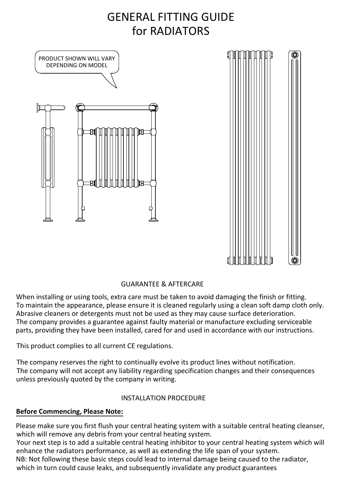# GENERAL FITTING GUIDE for RADIATORS



## GUARANTEE & AFTERCARE

When installing or using tools, extra care must be taken to avoid damaging the finish or fitting. To maintain the appearance, please ensure it is cleaned regularly using a clean soft damp cloth only. Abrasive cleaners or detergents must not be used as they may cause surface deterioration. The company provides a guarantee against faulty material or manufacture excluding serviceable parts, providing they have been installed, cared for and used in accordance with our instructions.

This product complies to all current CE regulations.

The company reserves the right to continually evolve its product lines without notification. The company will not accept any liability regarding specification changes and their consequences unless previously quoted by the company in writing.

## INSTALLATION PROCEDURE

## **Before Commencing, Please Note:**

Please make sure you first flush your central heating system with a suitable central heating cleanser, which will remove any debris from your central heating system. Your next step is to add a suitable central heating inhibitor to your central heating system which will

enhance the radiators performance, as well as extending the life span of your system. NB: Not following these basic steps could lead to internal damage being caused to the radiator, which in turn could cause leaks, and subsequently invalidate any product guarantees